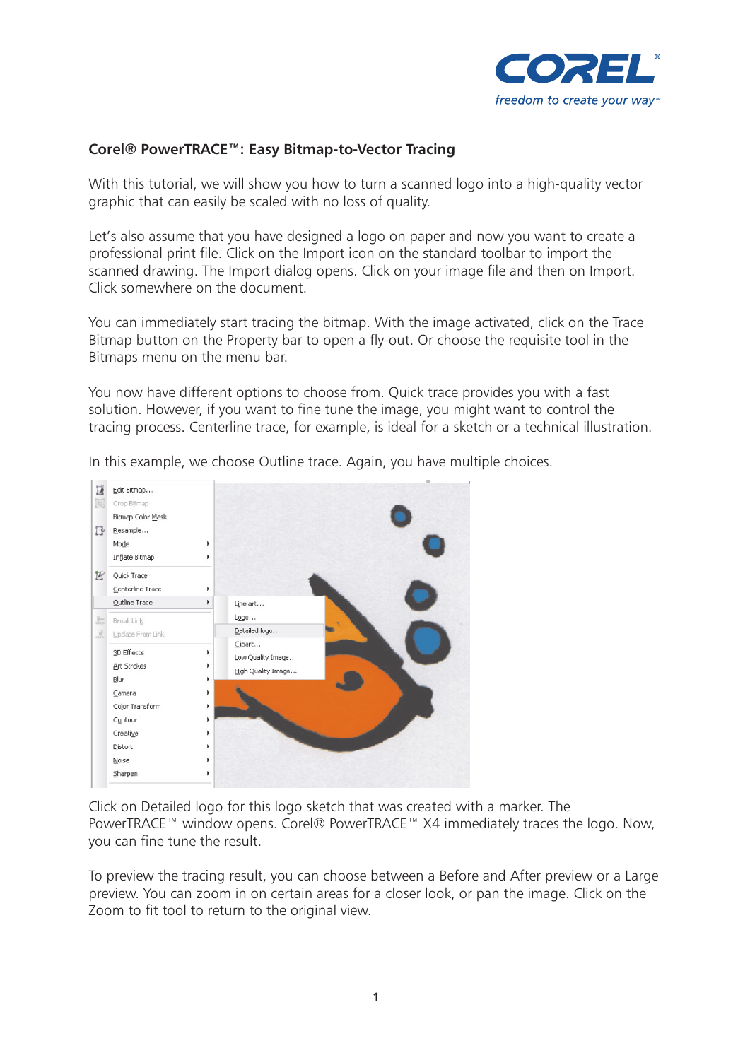

## **Corel® PowerTRACE™: Easy Bitmap-to-Vector Tracing**

With this tutorial, we will show you how to turn a scanned logo into a high-quality vector graphic that can easily be scaled with no loss of quality.

Let's also assume that you have designed a logo on paper and now you want to create a professional print file. Click on the Import icon on the standard toolbar to import the scanned drawing. The Import dialog opens. Click on your image file and then on Import. Click somewhere on the document.

You can immediately start tracing the bitmap. With the image activated, click on the Trace Bitmap button on the Property bar to open a fly-out. Or choose the requisite tool in the Bitmaps menu on the menu bar.

You now have different options to choose from. Quick trace provides you with a fast solution. However, if you want to fine tune the image, you might want to control the tracing process. Centerline trace, for example, is ideal for a sketch or a technical illustration.



In this example, we choose Outline trace. Again, you have multiple choices.

Click on Detailed logo for this logo sketch that was created with a marker. The PowerTRACE™ window opens. Corel® PowerTRACE™ X4 immediately traces the logo. Now, you can fine tune the result.

To preview the tracing result, you can choose between a Before and After preview or a Large preview. You can zoom in on certain areas for a closer look, or pan the image. Click on the Zoom to fit tool to return to the original view.